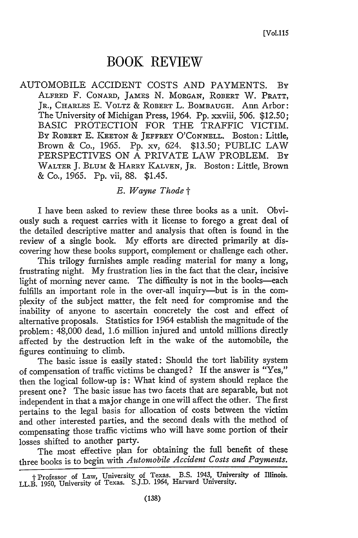## **BOOK REVIEW**

AUTOMOBILE ACCIDENT COSTS AND PAYMENTS. By ALFRED F. CONARD, JAMES N. MORGAN, ROBERT W. PRATT, JR., CHARLES E. VOLTZ **&** ROBERT L. BOMBAUGH. Ann Arbor: The University of Michigan Press, 1964. Pp. xxviii, 506. \$12.50; BASIC PROTECTION FOR THE TRAFFIC VICTIM. By ROBERT E. KEETON **&** JEFFREY O'CONNELL. Boston: Little, Brown & Co., 1965. Pp. xv, 624. \$13.50; PUBLIC LAW PERSPECTIVES ON A PRIVATE LAW PROBLEM. By WALTER J. BLUM & HARRY **KALVEN,** JR. Boston: Little, Brown & Co., 1965. Pp. vii, 88. \$1.45.

## *E. Wayne Thode t*

I have been asked to review these three books as a unit. Obviously such a request carries with it license to forego a great deal of the detailed descriptive matter and analysis that often is found in the review of a single book. My efforts are directed primarily at discovering how these books support, complement or challenge each other.

This trilogy furnishes ample reading material for many a long, frustrating night. My frustration lies in the fact that the clear, incisive light of morning never came. The difficulty is not in the books-each fulfills an important role in the over-all inquiry-but is in the complexity of the subject matter, the felt need for compromise and the inability of anyone to ascertain concretely the cost and effect of alternative proposals. Statistics for 1964 establish the magnitude of the problem: 48,000 dead, 1.6 million injured and untold millions directly affected by the destruction left in the wake of the automobile, the figures continuing to climb.

The basic issue is easily stated: Should the tort liability system of compensation of traffic victims be changed? If the answer is "Yes," then the logical follow-up is: What kind of system should replace the present one? The basic issue has two facets that are separable, but not independent in that a major change in one will affect the other. The first pertains to the legal basis for allocation of costs between the victim and other interested parties, and the second deals with the method of compensating those traffic victims who will have some portion of their losses shifted to another party.

The most effective plan for obtaining the full benefit of these three books is to begin with *Automobile Accident Costs and Payments.*

t Professor of Law, University of Texas. B.S. 1943, University of Illinois. LL.B. 1950, University of Texas. S.J.D. 1964, Harvard University.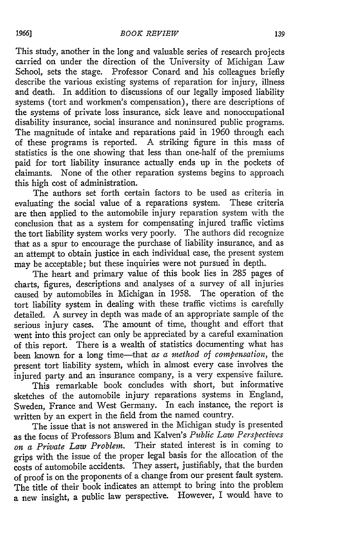This study, another in the long and valuable series of research projects carried on under the direction of the University of Michigan Law School, sets the stage. Professor Conard and his colleagues briefly describe the various existing systems of reparation for injury, illness and death. In addition to discussions of our legally imposed liability systems (tort and workmen's compensation), there are descriptions of the systems of private loss insurance, sick leave and nonoccupational disability insurance, social insurance and noninsured public programs. The magnitude of intake and reparations paid in 1960 through each of these programs is reported. A striking figure in this mass of statistics is the one showing that less than one-half of the premiums paid for tort liability insurance actually ends up in the pockets of claimants. None of the other reparation systems begins to approach this high cost of administration.

The authors set forth certain factors to be used as criteria in evaluating the social value of a reparations system. These criteria are then applied to the automobile injury reparation system with the conclusion that as a system for compensating injured traffic victims the tort liability system works very poorly. The authors did recognize that as a spur to encourage the purchase of liability insurance, and as an attempt to obtain justice in each individual case, the present system may be acceptable; but these inquiries were not pursued in depth.

The heart and primary value of this book lies in 285 pages of charts, figures, descriptions and analyses of a survey of all injuries caused by automobiles in Michigan in 1958. The operation of the tort liability system in dealing with these traffic victims is carefully detailed. A survey in depth was made of an appropriate sample of the serious injury cases. The amount of time, thought and effort that went into this project can only be appreciated by a careful examination of this report. There is a wealth of statistics documenting what has been known for a long time-that *as a method of compensation,* the present tort liability system, which in almost every case involves the injured party and an insurance company, is a very expensive failure.

This remarkable book concludes with short, but informative sketches of the automobile injury reparations systems in England, Sweden, France and West Germany. In each instance, the report is written by an expert in the field from the named country.

The issue that is not answered in the Michigan study is presented as the focus of Professors Blum and Kalven's *Public Law Perspectives on a Private Law Problem.* Their stated interest is in coming to grips with the issue of the proper legal basis for the allocation of the costs of automobile accidents. They assert, justifiably, that the burden of proof is on the proponents of a change from our present fault system. The title of their book indicates an attempt to bring into the problem a new insight, a public law perspective. However, I would have to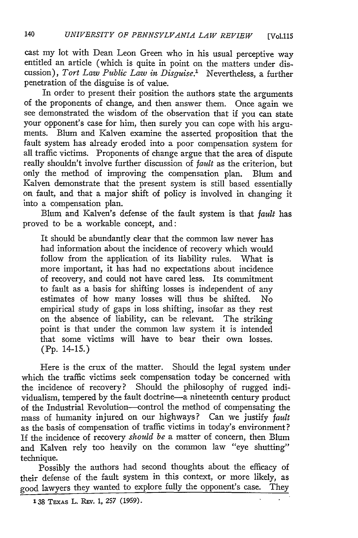cast my lot with Dean Leon Green who in his usual perceptive way entitled an article (which is quite in point on the matters under discussion), *Tort Law Public Law in Disguise.'* Nevertheless, a further penetration of the disguise is of value.

In order to present their position the authors state the arguments of the proponents of change, and then answer them. Once again we see demonstrated the wisdom of the observation that if you can state your opponent's case for him, then surely you can cope with his arguments. Blum and Kalven examine the asserted proposition that the fault system has already eroded into a poor compensation system for all traffic victims. Proponents of change argue that the area of dispute really shouldn't involve further discussion of *fault* as the criterion, but only the method of improving the compensation plan. Blum and Kalven demonstrate that the present system is still based essentially on fault, and that a major shift of policy is involved in changing it into a compensation plan.

Blum and Kalven's defense of the fault system is that *fault* has proved to be a workable concept, and:

It should be abundantly clear that the common law never has had information about the incidence of recovery which would follow from the application of its liability rules. What is more important, it has had no expectations about incidence of recovery, and could not have cared less. Its commitment to fault as a basis for shifting losses is independent of any estimates of how many losses will thus be shifted. No empirical study of gaps in loss shifting, insofar as they rest on the absence of liability, can be relevant. The striking point is that under the common law system it is intended that some victims will have to bear their own losses. (Pp. 14-15.)

Here is the crux of the matter. Should the legal system under which the traffic victims seek compensation today be concerned with the incidence of recovery? Should the philosophy of rugged individualism, tempered **by** the fault doctrine-a nineteenth century product of the Industrial Revolution-control the method of compensating the mass of humanity injured on our highways? Can we justify *fault* as the basis of compensation of traffic victims in today's environment? If the incidence of recovery *should be* a matter of concern, then Blum and Kalven rely too heavily on the common law "eye shutting" technique.

Possibly the authors had second thoughts about the efficacy of their defense of the fault system in this context, or more likely, as good lawyers they wanted to explore fully the opponent's case. They

**<sup>138</sup>** TEXAs L. **REv. 1,** *257* **(1959).**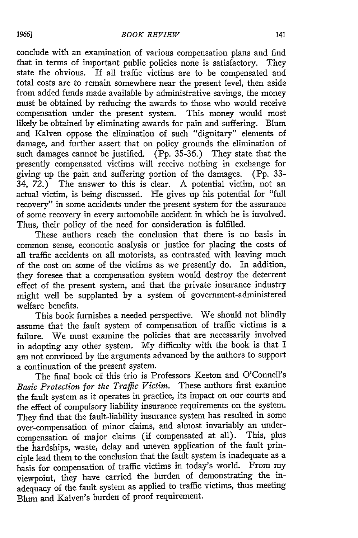conclude with an examination of various compensation plans and find that in terms of important public policies none is satisfactory. They state the obvious. If all traffic victims are to be compensated and total costs are to remain somewhere near the present level, then aside from added funds made available by administrative savings, the money must be obtained by reducing the awards to those who would receive compensation under the present system. This money would most likely be obtained by eliminating awards for pain and suffering. Blum and Kalven oppose the elimination of such "dignitary" elements of damage, and further assert that on policy grounds the elimination of such damages cannot be justified. (Pp. 35-36.) They state that the presently compensated victims will receive nothing in exchange for giving up the pain and suffering portion of the damages. (Pp. 33- 34, 72.) The answer to this is clear. A potential victim, not an actual victim, is being discussed. He gives up his potential for "full recovery" in some accidents under the present system for the assurance of some recovery in every automobile accident in which he is involved. Thus, their policy of the need for consideration is fulfilled.

These authors reach the conclusion that there is no basis in common sense, economic analysis or justice for placing the costs of all traffic accidents on all motorists, as contrasted with leaving much of the cost on some of the victims as we presently do. In addition, they foresee that a compensation system would destroy the deterrent effect of the present system, and that the private insurance industry might well be supplanted by a system of government-administered welfare benefits.

This book furnishes a needed perspective. We should not blindly assume that the fault system of compensation of traffic victims is a failure. We must examine the policies that are necessarily involved in adopting any other system. My difficulty with the book is that I am not convinced by the arguments advanced by the authors to support a continuation of the present system.

The final book of this trio is Professors Keeton and O'Connell's *Basic Protection for the Traffic Victim.* These authors first examine the fault system as it operates in practice, its impact on our courts and the effect of compulsory liability insurance requirements on the system. They find that the fault-liability insurance system has resulted in some over-compensation of minor claims, and almost invariably an undercompensation of major claims (if compensated at all). This, plus the hardships, waste, delay and uneven application of the fault principle lead them to the conclusion that the fault system is inadequate as a basis for compensation of traffic victims in today's world. From my viewpoint, they have carried the burden of demonstrating the inadequacy of the fault system as applied to traffic victims, thus meeting Blum and Kalven's burden of proof requirement.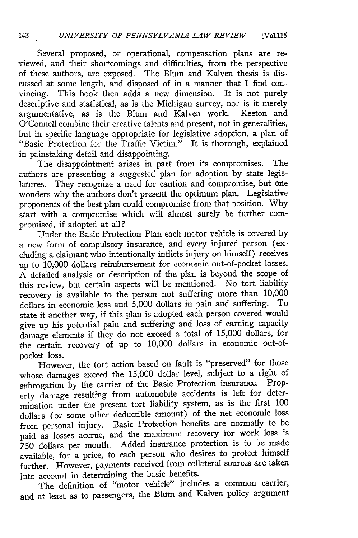Several proposed, or operational, compensation plans are reviewed, and their shortcomings and difficulties, from the perspective of these authors, are exposed. The Blum and Kalven thesis is discussed at some length, and disposed of in a manner that I find convincing. This book then adds a new dimension. It is not purely descriptive and statistical, as is the Michigan survey, nor is it merely argumentative, as is the Blum and Kalven work. Keeton and O'Connell combine their creative talents and present, not in generalities, but in specific language appropriate for legislative adoption, a plan of "Basic Protection for the Traffic Victim." It is thorough, explained in painstaking detail and disappointing.

The disappointment arises in part from its compromises. The authors are presenting a suggested plan for adoption by state legislatures. They recognize a need for caution and compromise, but one wonders why the authors don't present the optimum plan. Legislative proponents of the best plan could compromise from that position. Why start with a compromise which will almost surely be further compromised, if adopted at all?

Under the Basic Protection Plan each motor vehicle is covered by a new form of compulsory insurance, and every injured person (excluding a claimant who intentionally inflicts injury on himself) receives up to 10,000 dollars reimbursement for economic out-of-pocket losses. A detailed analysis or description of the plan is beyond the scope of this review, but certain aspects will be mentioned. No tort liability recovery is available to the person not suffering more than 10,000 dollars in economic loss and 5,000 dollars in pain and suffering. To dollars in economic loss and  $\hat{5}$ ,000 dollars in pain and suffering. state it another way, if this plan is adopted each person covered would give up his potential pain and suffering and loss of earning capacity damage elements if they do not exceed a total of 15,000 dollars, for the certain recovery of up to 10,000 dollars in economic out-ofpocket loss.

However, the tort action based on fault is "preserved" for those whose damages exceed the 15,000 dollar level, subject to a right of subrogation by the carrier of the Basic Protection insurance. Property damage resulting from automobile accidents is left for determination under the present tort liability system, as is the first 100 dollars (or some other deductible amount) of the net economic loss from personal injury. Basic Protection benefits are normally to be paid as losses accrue, and the maximum recovery for work loss is 750 dollars per month. Added insurance protection is to be made available, for a price, to each person who desires to protect himself further. However, payments received from collateral sources are taken into account in determining the basic benefits.

The definition of "motor vehicle" includes a common carrier, and at least as to passengers, the Blum and Kalven policy argument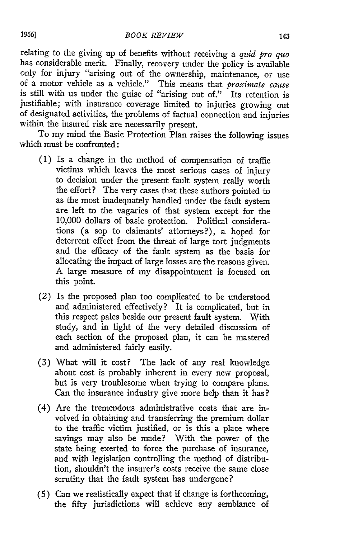relating to the giving up of benefits without receiving a *quid pro quo* has considerable merit. Finally, recovery under the policy is available only for injury "arising out of the ownership, maintenance, or use of a motor vehicle as a vehicle." This means that *proxinmate cause* is still with us under the guise of "arising out of." Its retention is justifiable; with insurance coverage limited to injuries growing out of designated activities, the problems of factual connection and injuries within the insured risk are necessarily present.

To my mind the Basic Protection Plan raises the following issues which must be confronted:

- (1) Is a change in the method of compensation of traffic victims which leaves the most serious cases of injury to decision under the present fault system really worth the effort? The very cases that these authors pointed to as the most inadequately handled under the fault system are left to the vagaries of that system except for the 10,000 dollars of basic protection. Political considerations (a sop to claimants' attorneys?), a hoped for deterrent effect from the threat of large tort judgments and the efficacy of the fault system as the basis for allocating the impact of large losses are the reasons given. A large measure of my disappointment is focused on this point.
- (2) Is the proposed plan too complicated to be understood and administered effectively? It is complicated, but in this respect pales beside our present fault system. With study, and in light of the very detailed discussion of each section of the proposed plan, it can be mastered and administered fairly easily.
- (3) What will it cost? The lack of any real knowledge about cost is probably inherent in every new proposal, but is very troublesome when trying to compare plans. Can the insurance industry give more help than it has?
- (4) Are the tremendous administrative costs that are involved in obtaining and transferring the premium dollar to the traffic victim justified, or is this a place where savings may also be made? With the power of the state being exerted to force the purchase of insurance, and with legislation controlling the method of distribution, shouldn't the insurer's costs receive the same close scrutiny that the fault system has undergone?
- (5) Can we realistically expect that if change is forthcoming, the fifty jurisdictions will achieve any semblance of